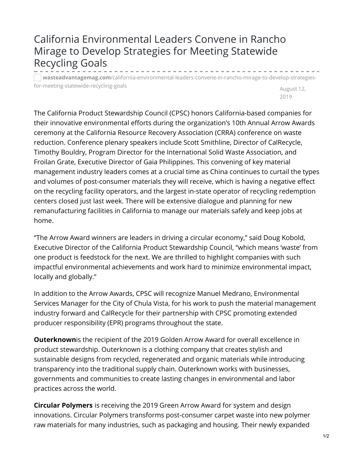## California Environmental Leaders Convene in Rancho Mirage to Develop Strategies for Meeting Statewide Recycling Goals

**wasteadvantagemag.com**[/california-environmental-leaders-convene-in-rancho-mirage-to-develop-strategies](https://wasteadvantagemag.com/california-environmental-leaders-convene-in-rancho-mirage-to-develop-strategies-for-meeting-statewide-recycling-goals/)for-meeting-statewide-recycling-goals

August 12, 2019

The California Product Stewardship Council (CPSC) honors California-based companies for their innovative environmental efforts during the organization's 10th Annual Arrow Awards ceremony at the California Resource Recovery Association (CRRA) conference on waste reduction. Conference plenary speakers include Scott Smithline, Director of CalRecycle, Timothy Bouldry, Program Director for the International Solid Waste Association, and Froilan Grate, Executive Director of Gaia Philippines. This convening of key material management industry leaders comes at a crucial time as China continues to curtail the types and volumes of post-consumer materials they will receive, which is having a negative effect on the recycling facility operators, and the largest in-state operator of recycling redemption centers closed just last week. There will be extensive dialogue and planning for new remanufacturing facilities in California to manage our materials safely and keep jobs at home.

"The Arrow Award winners are leaders in driving a circular economy," said Doug Kobold, Executive Director of the California Product Stewardship Council, "which means 'waste' from one product is feedstock for the next. We are thrilled to highlight companies with such impactful environmental achievements and work hard to minimize environmental impact, locally and globally."

In addition to the Arrow Awards, CPSC will recognize Manuel Medrano, Environmental Services Manager for the City of Chula Vista, for his work to push the material management industry forward and CalRecycle for their partnership with CPSC promoting extended producer responsibility (EPR) programs throughout the state.

**Outerknown**is the recipient of the 2019 Golden Arrow Award for overall excellence in product stewardship. Outerknown is a clothing company that creates stylish and sustainable designs from recycled, regenerated and organic materials while introducing transparency into the traditional supply chain. Outerknown works with businesses, governments and communities to create lasting changes in environmental and labor practices across the world.

**Circular Polymers** is receiving the 2019 Green Arrow Award for system and design innovations. Circular Polymers transforms post-consumer carpet waste into new polymer raw materials for many industries, such as packaging and housing. Their newly expanded